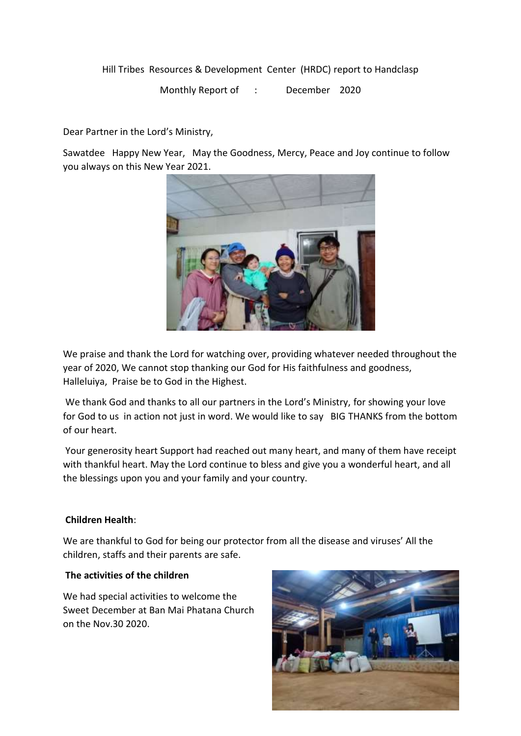Hill Tribes Resources & Development Center (HRDC) report to Handclasp

Monthly Report of : December 2020

Dear Partner in the Lord's Ministry,

Sawatdee Happy New Year, May the Goodness, Mercy, Peace and Joy continue to follow you always on this New Year 2021.



We praise and thank the Lord for watching over, providing whatever needed throughout the year of 2020, We cannot stop thanking our God for His faithfulness and goodness, Halleluiya, Praise be to God in the Highest.

We thank God and thanks to all our partners in the Lord's Ministry, for showing your love for God to us in action not just in word. We would like to say BIG THANKS from the bottom of our heart.

Your generosity heart Support had reached out many heart, and many of them have receipt with thankful heart. May the Lord continue to bless and give you a wonderful heart, and all the blessings upon you and your family and your country.

## **Children Health**:

We are thankful to God for being our protector from all the disease and viruses' All the children, staffs and their parents are safe.

## **The activities of the children**

We had special activities to welcome the Sweet December at Ban Mai Phatana Church on the Nov.30 2020.

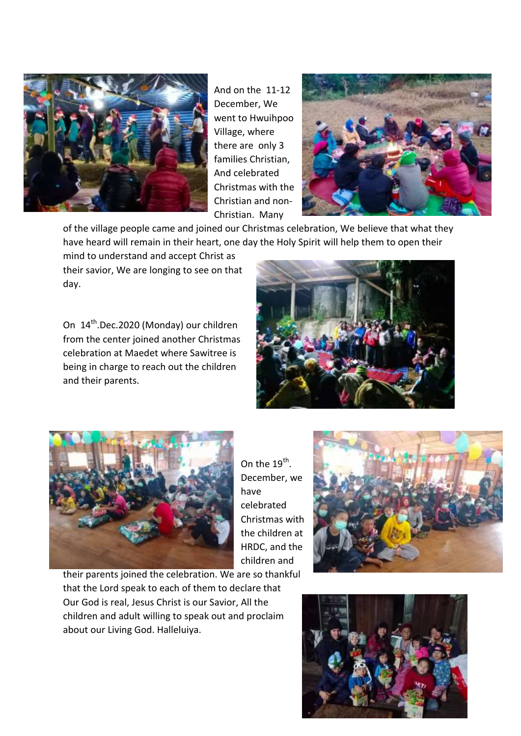

And on the 11-12 December, We went to Hwuihpoo Village, where there are only 3 families Christian, And celebrated Christmas with the Christian and non-Christian. Many



of the village people came and joined our Christmas celebration, We believe that what they have heard will remain in their heart, one day the Holy Spirit will help them to open their

mind to understand and accept Christ as their savior, We are longing to see on that day.

On 14<sup>th</sup>.Dec.2020 (Monday) our children from the center joined another Christmas celebration at Maedet where Sawitree is being in charge to reach out the children and their parents.





On the  $19^{\text{th}}$ . December, we have celebrated Christmas with the children at HRDC, and the children and

their parents joined the celebration. We are so thankful that the Lord speak to each of them to declare that Our God is real, Jesus Christ is our Savior, All the children and adult willing to speak out and proclaim about our Living God. Halleluiya.

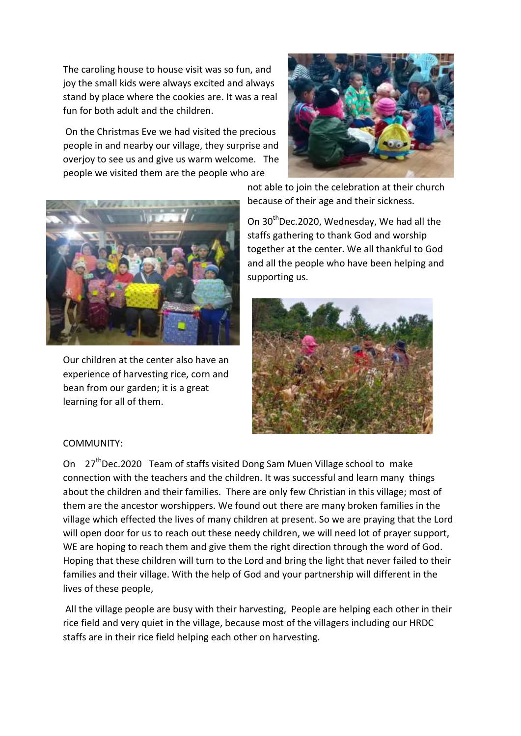The caroling house to house visit was so fun, and joy the small kids were always excited and always stand by place where the cookies are. It was a real fun for both adult and the children.

On the Christmas Eve we had visited the precious people in and nearby our village, they surprise and overjoy to see us and give us warm welcome. The people we visited them are the people who are





Our children at the center also have an experience of harvesting rice, corn and bean from our garden; it is a great learning for all of them.

not able to join the celebration at their church because of their age and their sickness.

On 30<sup>th</sup>Dec.2020, Wednesday, We had all the staffs gathering to thank God and worship together at the center. We all thankful to God and all the people who have been helping and supporting us.



## COMMUNITY:

On 27<sup>th</sup>Dec.2020 Team of staffs visited Dong Sam Muen Village school to make connection with the teachers and the children. It was successful and learn many things about the children and their families. There are only few Christian in this village; most of them are the ancestor worshippers. We found out there are many broken families in the village which effected the lives of many children at present. So we are praying that the Lord will open door for us to reach out these needy children, we will need lot of prayer support, WE are hoping to reach them and give them the right direction through the word of God. Hoping that these children will turn to the Lord and bring the light that never failed to their families and their village. With the help of God and your partnership will different in the lives of these people,

All the village people are busy with their harvesting, People are helping each other in their rice field and very quiet in the village, because most of the villagers including our HRDC staffs are in their rice field helping each other on harvesting.